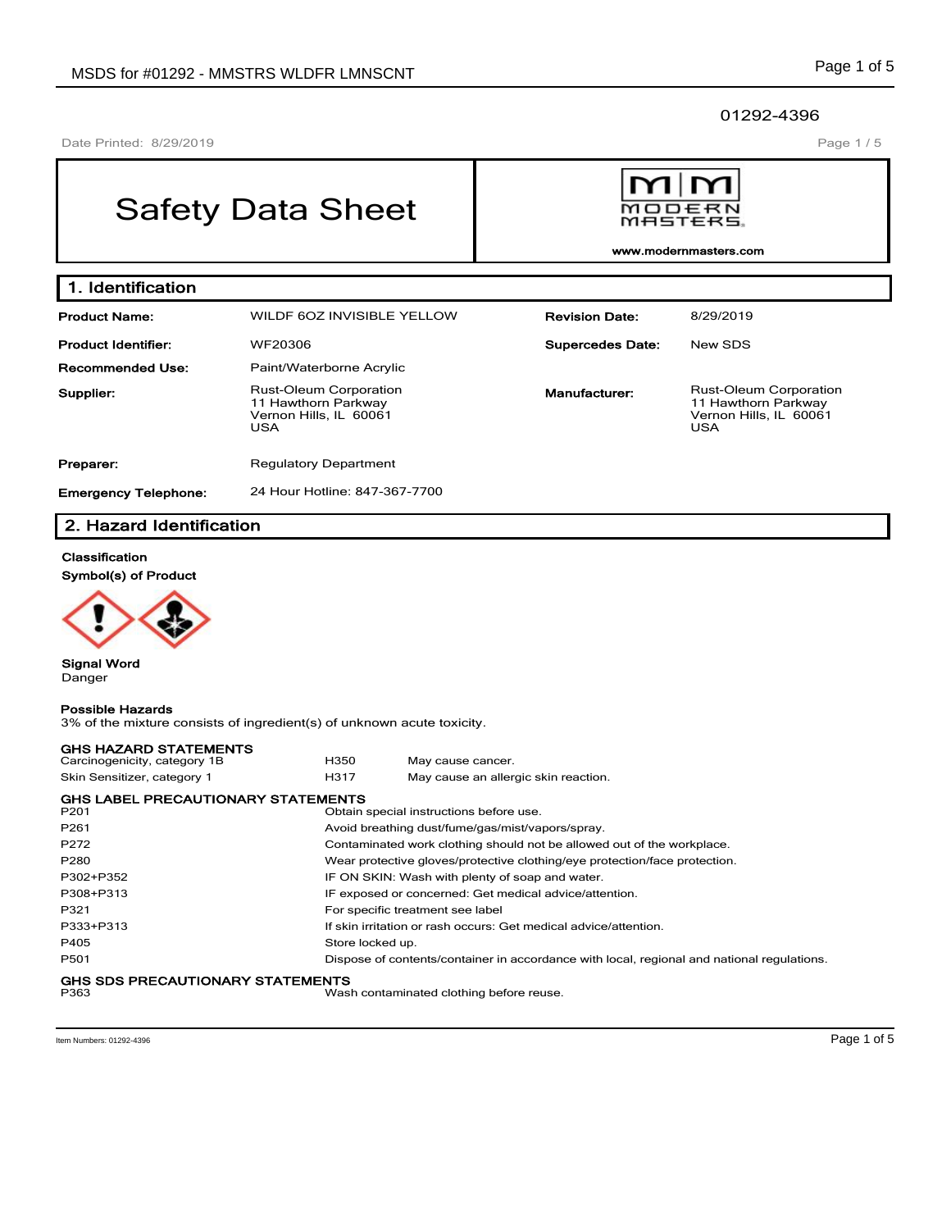Page 1 / 5

## 01292-4396

Date Printed: 8/29/2019

# Safety Data Sheet



**www.modernmasters.com**

| 1. Identification           |                                                                                              |                         |                                                                                              |
|-----------------------------|----------------------------------------------------------------------------------------------|-------------------------|----------------------------------------------------------------------------------------------|
| <b>Product Name:</b>        | WILDF 60Z INVISIBLE YELLOW                                                                   | <b>Revision Date:</b>   | 8/29/2019                                                                                    |
| <b>Product Identifier:</b>  | WF20306                                                                                      | <b>Supercedes Date:</b> | New SDS                                                                                      |
| <b>Recommended Use:</b>     | Paint/Waterborne Acrylic                                                                     |                         |                                                                                              |
| Supplier:                   | <b>Rust-Oleum Corporation</b><br>11 Hawthorn Parkway<br>Vernon Hills, IL 60061<br><b>USA</b> | Manufacturer:           | <b>Rust-Oleum Corporation</b><br>11 Hawthorn Parkway<br>Vernon Hills, IL 60061<br><b>USA</b> |
| Preparer:                   | <b>Regulatory Department</b>                                                                 |                         |                                                                                              |
| <b>Emergency Telephone:</b> | 24 Hour Hotline: 847-367-7700                                                                |                         |                                                                                              |

# **2. Hazard Identification**

## **Classification**

**Symbol(s) of Product**



**Signal Word** Danger

# **Possible Hazards**

3% of the mixture consists of ingredient(s) of unknown acute toxicity.

| <b>GHS HAZARD STATEMENTS</b>                    |                  |                                                                                            |
|-------------------------------------------------|------------------|--------------------------------------------------------------------------------------------|
| Carcinogenicity, category 1B                    | H350             | May cause cancer.                                                                          |
| Skin Sensitizer, category 1                     | H317             | May cause an allergic skin reaction.                                                       |
| <b>GHS LABEL PRECAUTIONARY STATEMENTS</b>       |                  |                                                                                            |
| P <sub>201</sub>                                |                  | Obtain special instructions before use.                                                    |
| P <sub>261</sub>                                |                  | Avoid breathing dust/fume/gas/mist/vapors/spray.                                           |
| P272                                            |                  | Contaminated work clothing should not be allowed out of the workplace.                     |
| P <sub>280</sub>                                |                  | Wear protective gloves/protective clothing/eye protection/face protection.                 |
| P302+P352                                       |                  | IF ON SKIN: Wash with plenty of soap and water.                                            |
| P308+P313                                       |                  | IF exposed or concerned: Get medical advice/attention.                                     |
| P321                                            |                  | For specific treatment see label                                                           |
| P333+P313                                       |                  | If skin irritation or rash occurs: Get medical advice/attention.                           |
| P405                                            | Store locked up. |                                                                                            |
| P501                                            |                  | Dispose of contents/container in accordance with local, regional and national regulations. |
| <b>GHS SDS PRECAUTIONARY STATEMENTS</b><br>P363 |                  | Wash contaminated clothing before reuse.                                                   |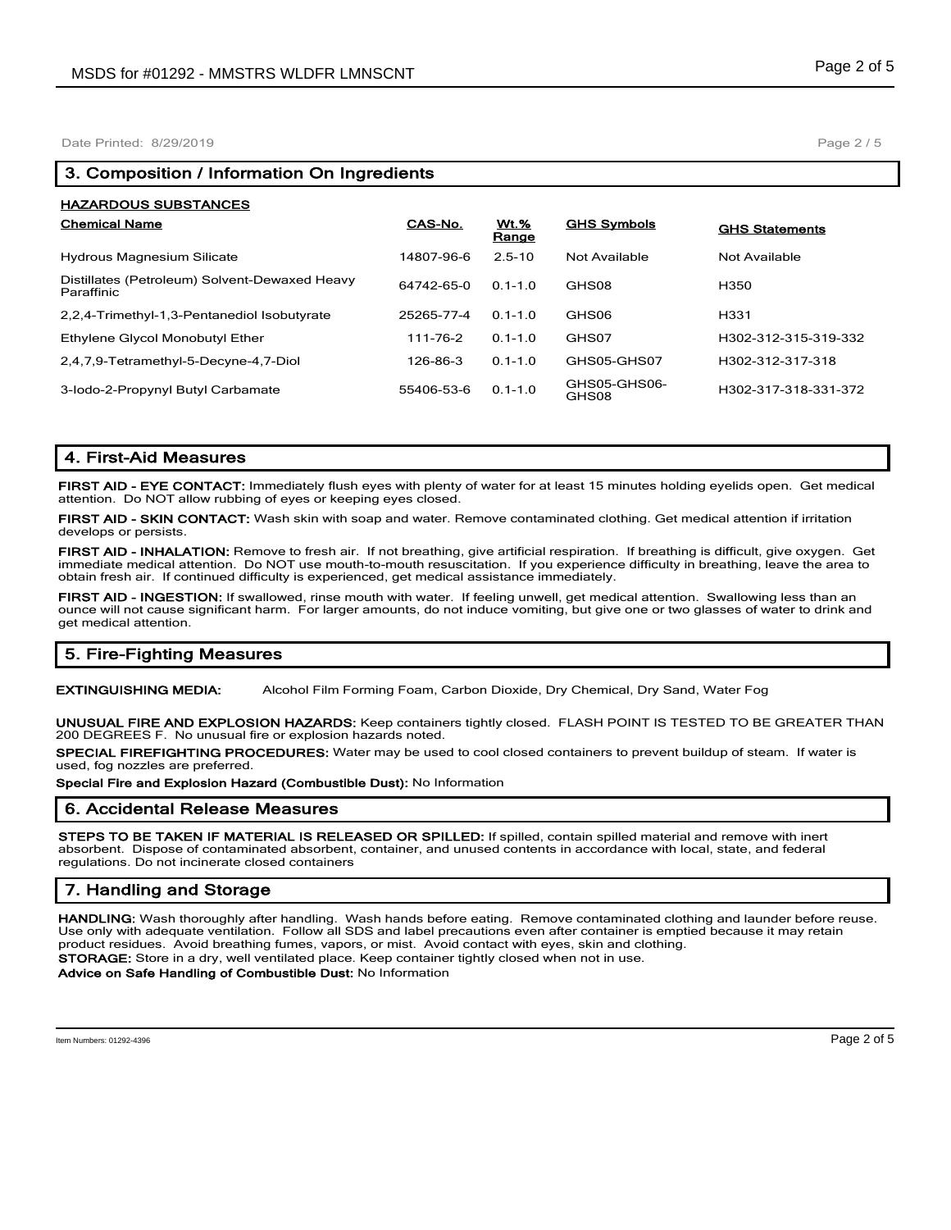Date Printed: 8/29/2019

| <b>HAZARDOUS SUBSTANCES</b>                                 |            |               |                       |                       |
|-------------------------------------------------------------|------------|---------------|-----------------------|-----------------------|
| <b>Chemical Name</b>                                        | CAS-No.    | Wt.%<br>Range | <b>GHS Symbols</b>    | <b>GHS Statements</b> |
| <b>Hydrous Magnesium Silicate</b>                           | 14807-96-6 | $2.5 - 10$    | Not Available         | Not Available         |
| Distillates (Petroleum) Solvent-Dewaxed Heavy<br>Paraffinic | 64742-65-0 | $01 - 10$     | GHS08                 | H350                  |
| 2,2,4-Trimethyl-1,3-Pentanediol Isobutyrate                 | 25265-77-4 | $0.1 - 1.0$   | GHS06                 | H <sub>331</sub>      |
| Ethylene Glycol Monobutyl Ether                             | 111-76-2   | $0.1 - 1.0$   | GHS07                 | H302-312-315-319-332  |
| 2,4,7,9-Tetramethyl-5-Decyne-4,7-Diol                       | 126-86-3   | $0.1 - 1.0$   | GHS05-GHS07           | H302-312-317-318      |
| 3-lodo-2-Propynyl Butyl Carbamate                           | 55406-53-6 | $0.1 - 1.0$   | GHS05-GHS06-<br>GHS08 | H302-317-318-331-372  |

# **4. First-Aid Measures**

**FIRST AID - EYE CONTACT:** Immediately flush eyes with plenty of water for at least 15 minutes holding eyelids open. Get medical attention. Do NOT allow rubbing of eyes or keeping eyes closed.

**FIRST AID - SKIN CONTACT:** Wash skin with soap and water. Remove contaminated clothing. Get medical attention if irritation develops or persists.

**FIRST AID - INHALATION:** Remove to fresh air. If not breathing, give artificial respiration. If breathing is difficult, give oxygen. Get immediate medical attention. Do NOT use mouth-to-mouth resuscitation. If you experience difficulty in breathing, leave the area to obtain fresh air. If continued difficulty is experienced, get medical assistance immediately.

**FIRST AID - INGESTION:** If swallowed, rinse mouth with water. If feeling unwell, get medical attention. Swallowing less than an ounce will not cause significant harm. For larger amounts, do not induce vomiting, but give one or two glasses of water to drink and get medical attention.

# **5. Fire-Fighting Measures**

**EXTINGUISHING MEDIA:** Alcohol Film Forming Foam, Carbon Dioxide, Dry Chemical, Dry Sand, Water Fog

**UNUSUAL FIRE AND EXPLOSION HAZARDS:** Keep containers tightly closed. FLASH POINT IS TESTED TO BE GREATER THAN 200 DEGREES F. No unusual fire or explosion hazards noted.

**SPECIAL FIREFIGHTING PROCEDURES:** Water may be used to cool closed containers to prevent buildup of steam. If water is used, fog nozzles are preferred.

**Special Fire and Explosion Hazard (Combustible Dust):** No Information

## **6. Accidental Release Measures**

**STEPS TO BE TAKEN IF MATERIAL IS RELEASED OR SPILLED:** If spilled, contain spilled material and remove with inert absorbent. Dispose of contaminated absorbent, container, and unused contents in accordance with local, state, and federal regulations. Do not incinerate closed containers

# **7. Handling and Storage**

**HANDLING:** Wash thoroughly after handling. Wash hands before eating. Remove contaminated clothing and launder before reuse. Use only with adequate ventilation. Follow all SDS and label precautions even after container is emptied because it may retain product residues. Avoid breathing fumes, vapors, or mist. Avoid contact with eyes, skin and clothing. **STORAGE:** Store in a dry, well ventilated place. Keep container tightly closed when not in use.

**Advice on Safe Handling of Combustible Dust:** No Information

Page 2 / 5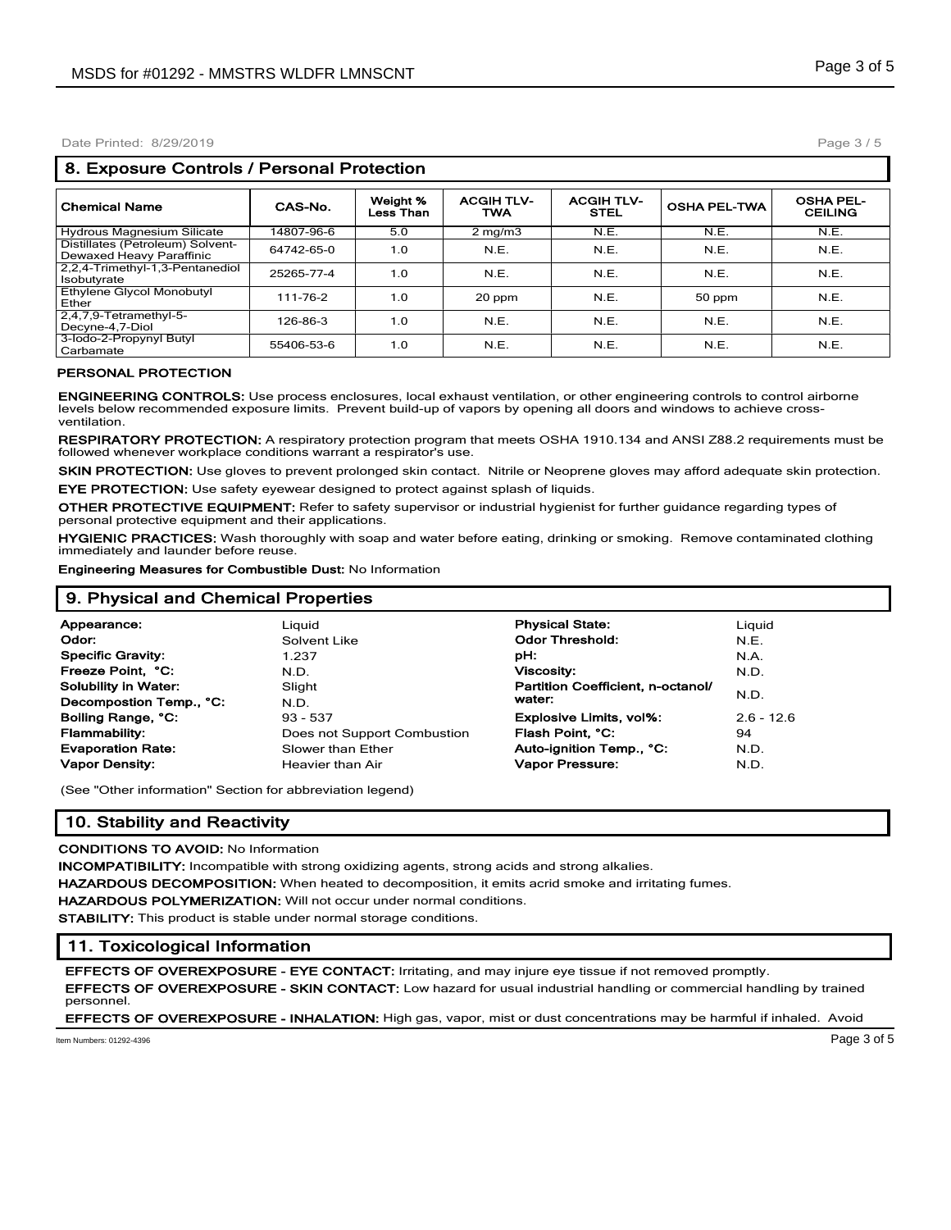#### Date Printed: 8/29/2019

## **8. Exposure Controls / Personal Protection**

| <b>Chemical Name</b>                                         | CAS-No.    | Weight %<br>Less Than | <b>ACGIH TLV-</b><br><b>TWA</b> | <b>ACGIH TLV-</b><br><b>STEL</b> | <b>OSHA PEL-TWA</b> | <b>OSHA PEL-</b><br><b>CEILING</b> |
|--------------------------------------------------------------|------------|-----------------------|---------------------------------|----------------------------------|---------------------|------------------------------------|
| Hydrous Magnesium Silicate                                   | 14807-96-6 | 5.0                   | $2$ mg/m $3$                    | N.E.                             | N.E.                | N.E.                               |
| Distillates (Petroleum) Solvent-<br>Dewaxed Heavy Paraffinic | 64742-65-0 | 1.0                   | N.E.                            | N.E.                             | N.E.                | N.E.                               |
| 2,2,4-Trimethyl-1,3-Pentanediol<br>Isobutyrate               | 25265-77-4 | 1.0                   | N.E.                            | N.E.                             | N.E.                | N.E.                               |
| Ethylene Glycol Monobutyl<br>Ether                           | 111-76-2   | 1.0                   | 20 ppm                          | N.E.                             | 50 ppm              | N.E.                               |
| $2,4,7,9$ -Tetramethyl-5-<br>Decyne-4,7-Diol                 | 126-86-3   | 1.0                   | N.E.                            | N.E.                             | N.E.                | N.E.                               |
| 3-lodo-2-Propynyl Butyl<br>Carbamate                         | 55406-53-6 | 1.0                   | N.E.                            | N.E.                             | N.E.                | N.E.                               |

#### **PERSONAL PROTECTION**

**ENGINEERING CONTROLS:** Use process enclosures, local exhaust ventilation, or other engineering controls to control airborne levels below recommended exposure limits. Prevent build-up of vapors by opening all doors and windows to achieve crossventilation.

**RESPIRATORY PROTECTION:** A respiratory protection program that meets OSHA 1910.134 and ANSI Z88.2 requirements must be followed whenever workplace conditions warrant a respirator's use.

**SKIN PROTECTION:** Use gloves to prevent prolonged skin contact. Nitrile or Neoprene gloves may afford adequate skin protection. **EYE PROTECTION:** Use safety eyewear designed to protect against splash of liquids.

**OTHER PROTECTIVE EQUIPMENT:** Refer to safety supervisor or industrial hygienist for further guidance regarding types of personal protective equipment and their applications.

**HYGIENIC PRACTICES:** Wash thoroughly with soap and water before eating, drinking or smoking. Remove contaminated clothing immediately and launder before reuse.

**Engineering Measures for Combustible Dust:** No Information

## **9. Physical and Chemical Properties Appearance:** Liquid **Physical State:** Liquid **Odor:** The Solvent Like **Container Codor Threshold:** N.E. **Specific Gravity:** 1.237 **pH:** N.A. **Freeze Point, °C:** N.D. **Viscosity:** N.D. **Solubility in Water:** Slight **Partition Coefficient, n-octanol/**<br> **Personnestion Term C:** N.D. N.D. Water: **water:** N.D. **Decompostion Temp., °C:** N.D. **Boiling Range, °C:** 93 - 537 **Explosive Limits, vol%:** 2.6 - 12.6 **Flammability:** Does not Support Combustion **Flash Point, °C:** 94 **Evaporation Rate: Auto-ignition Temp., °C:** N.D. **Slower than Ether Auto-ignition Temp., °C:** N.D. **Vapor Density:** Heavier than Air **Vapor Pressure:** N.D.

(See "Other information" Section for abbreviation legend)

## **10. Stability and Reactivity**

#### **CONDITIONS TO AVOID:** No Information

**INCOMPATIBILITY:** Incompatible with strong oxidizing agents, strong acids and strong alkalies.

**HAZARDOUS DECOMPOSITION:** When heated to decomposition, it emits acrid smoke and irritating fumes.

**HAZARDOUS POLYMERIZATION:** Will not occur under normal conditions.

**STABILITY:** This product is stable under normal storage conditions.

## **11. Toxicological Information**

**EFFECTS OF OVEREXPOSURE - EYE CONTACT:** Irritating, and may injure eye tissue if not removed promptly.

**EFFECTS OF OVEREXPOSURE - SKIN CONTACT:** Low hazard for usual industrial handling or commercial handling by trained personnel.

**EFFECTS OF OVEREXPOSURE - INHALATION:** High gas, vapor, mist or dust concentrations may be harmful if inhaled. Avoid

Item Numbers: 01292-4396 Page 3 of 5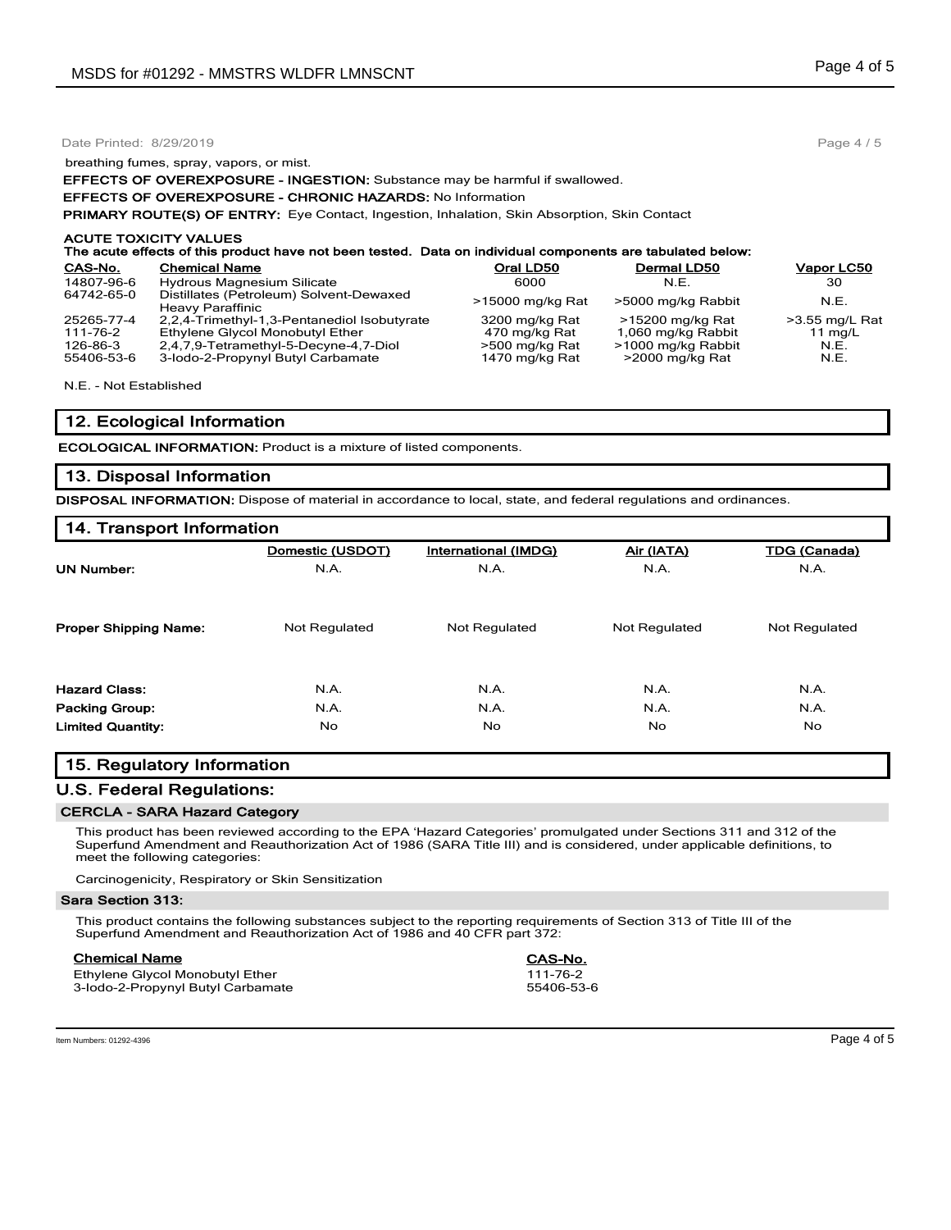|            | Date Printed: 8/29/2019                                                                                                                    |                  |                    |                  |  |  |  |
|------------|--------------------------------------------------------------------------------------------------------------------------------------------|------------------|--------------------|------------------|--|--|--|
|            | breathing fumes, spray, vapors, or mist.                                                                                                   |                  |                    |                  |  |  |  |
|            | <b>EFFECTS OF OVEREXPOSURE - INGESTION:</b> Substance may be harmful if swallowed.                                                         |                  |                    |                  |  |  |  |
|            | <b>EFFECTS OF OVEREXPOSURE - CHRONIC HAZARDS: No Information</b>                                                                           |                  |                    |                  |  |  |  |
|            | <b>PRIMARY ROUTE(S) OF ENTRY:</b> Eye Contact, Ingestion, Inhalation, Skin Absorption, Skin Contact                                        |                  |                    |                  |  |  |  |
|            | <b>ACUTE TOXICITY VALUES</b><br>The acute effects of this product have not been tested. Data on individual components are tabulated below: |                  |                    |                  |  |  |  |
| CAS-No.    | <b>Chemical Name</b>                                                                                                                       | Oral LD50        | Dermal LD50        | Vapor LC50       |  |  |  |
| 14807-96-6 | <b>Hydrous Magnesium Silicate</b>                                                                                                          | 6000             | N.E.               | 30               |  |  |  |
| 64742-65-0 | Distillates (Petroleum) Solvent-Dewaxed<br>Heavy Paraffinic                                                                                | >15000 mg/kg Rat | >5000 mg/kg Rabbit | N.E.             |  |  |  |
| 25265-77-4 | 2,2,4-Trimethyl-1,3-Pentanediol Isobutyrate                                                                                                | 3200 mg/kg Rat   | >15200 mg/kg Rat   | $>3.55$ mg/L Rat |  |  |  |
| 111-76-2   | Ethylene Glycol Monobutyl Ether                                                                                                            | 470 mg/kg Rat    | 1,060 mg/kg Rabbit | 11 $mg/L$        |  |  |  |
| 126-86-3   | 2,4,7,9-Tetramethyl-5-Decyne-4,7-Diol                                                                                                      | >500 mg/kg Rat   | >1000 mg/kg Rabbit | N.E.             |  |  |  |

126-86-3 2,4,7,9-Tetramethyl-5-Decyne-4,7-Diol >500 mg/kg Rat >1000 mg/kg Rabbit N.E.<br>55406-53-6 3-lodo-2-Propynyl Butyl Carbamate 1470 mg/kg Rat >2000 mg/kg Rat N.E. 3-lodo-2-Propynyl Butyl Carbamate 1470 mg/kg Rat >2000 mg/kg Rat

N.E. - Not Established

## **12. Ecological Information**

**ECOLOGICAL INFORMATION:** Product is a mixture of listed components.

## **13. Disposal Information**

**DISPOSAL INFORMATION:** Dispose of material in accordance to local, state, and federal regulations and ordinances.

| 14. Transport Information    |                      |                      |                      |                     |  |  |
|------------------------------|----------------------|----------------------|----------------------|---------------------|--|--|
|                              | Domestic (USDOT)     | International (IMDG) | Air (IATA)           | <b>TDG (Canada)</b> |  |  |
| <b>UN Number:</b>            | N.A.                 | N.A.                 | N.A.                 | N.A.                |  |  |
| <b>Proper Shipping Name:</b> | <b>Not Regulated</b> | Not Regulated        | <b>Not Regulated</b> | Not Regulated       |  |  |
| <b>Hazard Class:</b>         | N.A.                 | N.A.                 | N.A.                 | N.A.                |  |  |
| <b>Packing Group:</b>        | N.A.                 | N.A.                 | N.A.                 | N.A.                |  |  |
| <b>Limited Quantity:</b>     | <b>No</b>            | No.                  | No.                  | No.                 |  |  |

# **15. Regulatory Information**

## **U.S. Federal Regulations:**

#### **CERCLA - SARA Hazard Category**

This product has been reviewed according to the EPA 'Hazard Categories' promulgated under Sections 311 and 312 of the Superfund Amendment and Reauthorization Act of 1986 (SARA Title III) and is considered, under applicable definitions, to meet the following categories:

Carcinogenicity, Respiratory or Skin Sensitization

#### **Sara Section 313:**

This product contains the following substances subject to the reporting requirements of Section 313 of Title III of the Superfund Amendment and Reauthorization Act of 1986 and 40 CFR part 372:

| <b>Chemical Name</b>              | CAS-No.    |
|-----------------------------------|------------|
| Ethylene Glycol Monobutyl Ether   | 111-76-2   |
| 3-lodo-2-Propynyl Butyl Carbamate | 55406-53-6 |